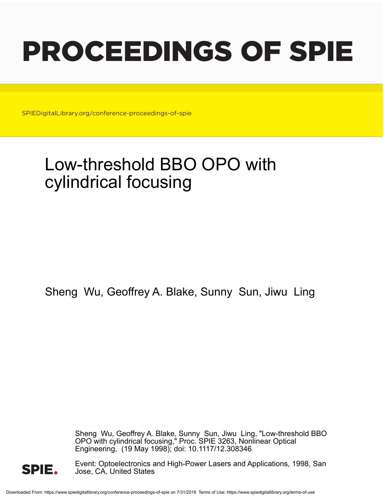# PROCEEDINGS OF SPIE

SPIEDigitalLibrary.org/conference-proceedings-of-spie

# Low-threshold BBO OPO with cylindrical focusing

Sheng Wu, Geoffrey A. Blake, Sunny Sun, Jiwu Ling

Sheng Wu, Geoffrey A. Blake, Sunny Sun, Jiwu Ling, "Low-threshold BBO OPO with cylindrical focusing," Proc. SPIE 3263, Nonlinear Optical Engineering, (19 May 1998); doi: 10.1117/12.308346



Event: Optoelectronics and High-Power Lasers and Applications, 1998, San Jose, CA, United States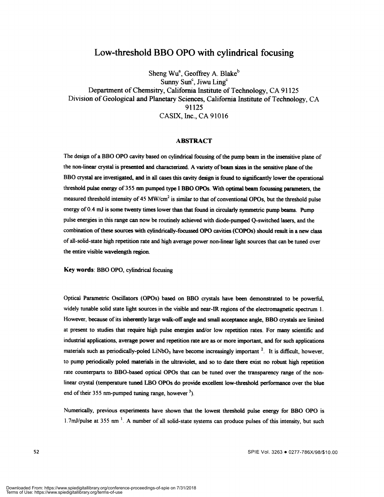## Low-threshold BBO OPO with cylindrical focusing

Sheng Wu<sup>a</sup>, Geoffrey A. Blake<sup>b</sup> Sunny Sun<sup>c</sup>, Jiwu Ling<sup>c</sup> Department of Chemsitry, California Institute of Technology, CA 91125 Division of Geological and Planetary Sciences, California Institute of Technology, CA 91125 CASIX, Inc., CA 91016

#### ABSTRACT

The design of a BBO OPO cavity based on cylindrical focusing of the pump beam in the insensitive plane of the non-linear crystal is presented and characterized. A variety of beam sizes in the sensitive plane of the BBO crystal are investigated, and in all cases this cavity design is found to significantly lower the operational threshold pulse energy of355 nm pumped type I BBO OPOs. With optimal beam focussing parameters, the measured threshold intensity of 45 MW/cm<sup>2</sup> is similar to that of conventional OPOs, but the threshold pulse energy of 0.4 mJ is some twenty times lower than that found in circularly symmetric pump beams. Pump pulse energies in this range can now be routinely achieved with diode-pumped Q-switched lasers, and the combination of these sources with cylindrically-focussed OPO cavities (COPOs) should result in a new class ofall-solid-state high repetition rate and high average power non-linear light sources that can be tuned over the entire visible wavelength region.

Key words: BBO OPO, cylindrical focusing

Optical Parametric Oscillators (OPOs) based on BBO crystals have been demonstrated to be powerful, widely tunable solid state light sources in the visible and near-JR regions of the electromagnetic spectrum 1. However, because of its inherently large walk-off angle and small acceptance angle, BBO crystals are limited at present to studies that require high pulse energies and/or low repetition rates. For many scientific and industrial applications, average power and repetition rate are as or more important, and for such applications materials such as periodically-poled LiNbO<sub>3</sub> have become increasingly important <sup>2</sup>. It is difficult, however, to pump periodically poled materials in the ultraviolet, and so to date there exist no robust high repetition rate counterparts to BBO-based optical OPOs that can be tuned over the transparency range of the nonlinear crystal (temperature tuned LBO OPOs do provide excellent low-threshold performance over the blue end of their 355 nm-pumped tuning range, however  $3$ ).

Numerically, previous experiments have shown that the lowest threshold pulse energy for BBO OPO is 1.7mJ/pulse at 355 nm $^{-1}$ . A number of all solid-state systems can produce pulses of this intensity, but such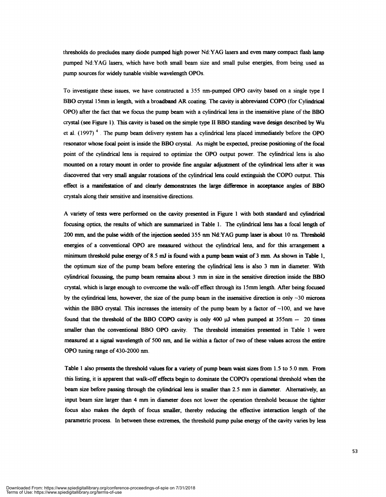thresholds do precludes many diode pumped high power Nd:YAG lasers and even many compact flash lamp pumped Nd:YAG lasers, which have both small beam size and small pulse energies, from being used as pump sources for widely tunable visible wavelength OPOs.

To investigate these issues, we have constructed a 355 nm-pumped OPO cavity based on a single type I BBO crystal 15mm in length, with a broadband AR coating. The cavity is abbreviated COPO (for Cylindrical OPO) after the fact that we focus the pump beam with a cylindrical lens in the insensitive plane ofthe BBO crystal (see Figure 1). This cavity is based on the simple type II BBO standing wave design described by Wu et al.  $(1997)$ <sup>4</sup>. The pump beam delivery system has a cylindrical lens placed immediately before the OPO resonator whose focal point is inside the BBO crystal. As might be expected, precise positioning ofthe focal point of the cylindrical lens is required to optimize the OPO output power. The cylindrical lens is also mounted on a rotary mount in order to provide fine angular adjustment of the cylindrical lens after it was discovered that very small angular rotations of the cylindrical lens could extinguish the COPO output. This effect is a manifestation of and clearly demonstrates the large difference in acceptance angles of BBO crystals along their sensitive and insensitive directions.

A variety of tests were performed on the cavity presented in Figure 1 with both standard and cylindrical focusing optics, the results of which are summarized in Table 1. The cylindrical lens has a focal length of 200 mm, and the pulse width of the injection seeded 355 nm Nd:YAG pump laser is about 10 ns. Threshold energies of a conventional OPO are measured without the cylindrical lens, and for this arrangemem a minimum threshold pulse energy of 8.5 mJ is found with a pump beam waist of 3 mm. As shown in Table 1, the optimum size of the pump beam before entering the cylindrical lens is also 3 mm in diameter. With cylindrical focussing, the pump beam remains about 3 mm in size in the sensitive direction inside the BBO crystal, which is large enough to overcome the walk-off effect through its 15mm length. After being focused by the cylindrical lens, however, the size of the pump beam in the insensitive direction is only  $\sim$  30 microns within the BBO crystal. This increases the intensity of the pump beam by a factor of  $\sim$ 100, and we have found that the threshold of the BBO COPO cavity is only 400  $\mu$ J when pumped at 355nm  $-$  20 times smaller than the conventional BBO OPO cavity. The threshold intensities presented in Table 1 were measured at a signal wavelength of 500 nm, and lie within a factor of two of these values across the entire OPO tuning range of 430-2000 nm.

Table 1 also presents the threshold values for a variety of pump beam waist sizes from 1 .5 to 5.0 mm. From this listing, it is apparent that walk-offeffects begin to dominate the COPOs operational threshold when the beam size before passing through the cylindrical lens is smaller than 2.5 mm in diameter. Alternatively, an input beam size larger than 4 mm in diameter does not lower the operation threshold because the tighter focus also makes the depth of focus smaller, thereby reducing the effective interaction length of the parametric process. In between these extremes, the threshold pump pulse energy of the cavity varies by less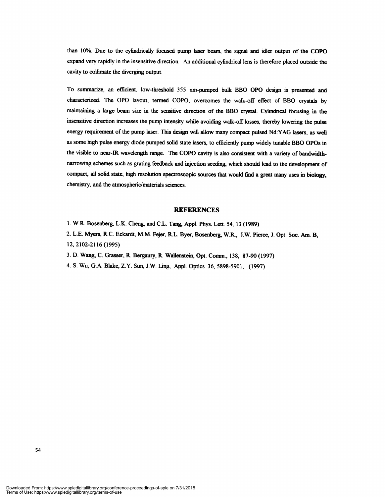than 10%. Due to the cylindrically focused pump laser beam, the signal and idler output of the COPO expand very rapidly in the insensitive direction. An additional cylindrical lens is therefore placed outside the cavity to collimate the diverging output.

To summarize, an efficient, low-threshold 355 nm-pumped bulk BBO OPO design is presented and characterized. The OPO layout, termed COPO, overcomes the walk-off effect of BBO crystals by maintaining a large beam size in the sensitive direction of the BBO crystaL Cylindrical focusing in the insensitive direction increases the pump intensity while avoiding walk-off losses, thereby lowering the pulse energy requirement of the pump laser. This design will allow many compact pulsed Nd:YAG lasers, as well as some high pulse energy diode pumped solid state lasers, to efficiently pump widely tunable BBO OPOs in the visible to near-JR wavelength range. The COPO cavity is also consistent with a variety of bandwidthnarrowing schemes such as grating feedback and injection seeding, which should lead to the development of compact, all solid state, high resolution spectroscopic sources that would find a great many uses in biology, chemistry, and the atmospheric/materials sciences.

### **REFERENCES**

- 1. W.R. Bosenberg, L.K. Cheng, and C.L. Tang, Appl. Phys. Lett. 54, 13 (1989)
- 2. L.E. Myers, R.C. Eckardt, M.M. Fejer, R.L. Byer, Bosenberg, W.R., J.W. Pierce, J. Opt. Soc. Am. B, 12, 2102-2116 (1995)
- 3. D. Wang, C. Grasser, R. Bergaury, R. Wallenstein, Opt. Comm., 138, 87-90 (1997)
- 4. S. Wu, G.A. Blake, Z.Y. Sun, J.W. Ling, App!. Optics 36, 5898-5901, (1997)

Downloaded From: https://www.spiedigitallibrary.org/conference-proceedings-of-spie on 7/31/2018 Terms of Use: https://www.spiedigitallibrary.org/terms-of-use